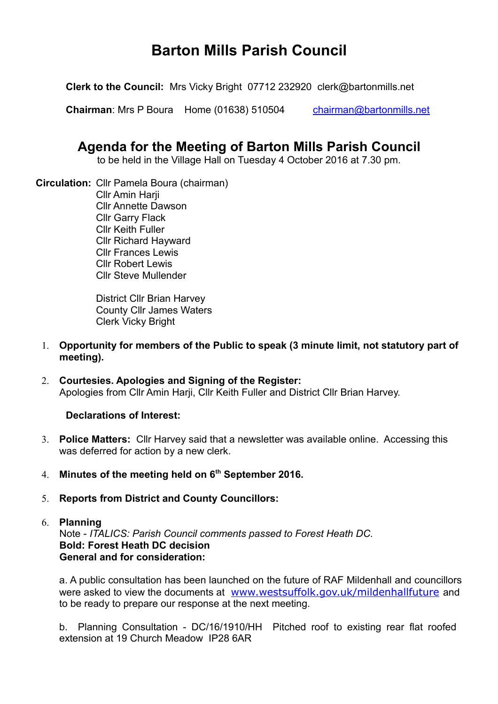# **Barton Mills Parish Council**

**Clerk to the Council:** Mrs Vicky Bright 07712 232920 clerk@bartonmills.net

**Chairman**: Mrs P Boura Home (01638) 510504 [chairman@bartonmills.net](mailto:chairman@bartonmills.net)

# **Agenda for the Meeting of Barton Mills Parish Council**

to be held in the Village Hall on Tuesday 4 October 2016 at 7.30 pm.

**Circulation:** Cllr Pamela Boura (chairman) **Cllr Amin Harii** Cllr Annette Dawson Cllr Garry Flack Cllr Keith Fuller Cllr Richard Hayward Cllr Frances Lewis Cllr Robert Lewis Cllr Steve Mullender

> District Cllr Brian Harvey County Cllr James Waters Clerk Vicky Bright

- 1. **Opportunity for members of the Public to speak (3 minute limit, not statutory part of meeting).**
- 2. **Courtesies. Apologies and Signing of the Register:** Apologies from Cllr Amin Harji, Cllr Keith Fuller and District Cllr Brian Harvey.

# **Declarations of Interest:**

- 3. **Police Matters:** Cllr Harvey said that a newsletter was available online. Accessing this was deferred for action by a new clerk.
- 4. **Minutes of the meeting held on 6th September 2016.**
- 5. **Reports from District and County Councillors:**
- 6. **Planning**

Note - *ITALICS: Parish Council comments passed to Forest Heath DC.*  **Bold: Forest Heath DC decision General and for consideration:**

a. A public consultation has been launched on the future of RAF Mildenhall and councillors were asked to view the documents at [www.westsuffolk.gov.uk/mildenhallfuture](http://www.westsuffolk.gov.uk/mildenhallfuture) and to be ready to prepare our response at the next meeting.

b. Planning Consultation - DC/16/1910/HH Pitched roof to existing rear flat roofed extension at 19 Church Meadow IP28 6AR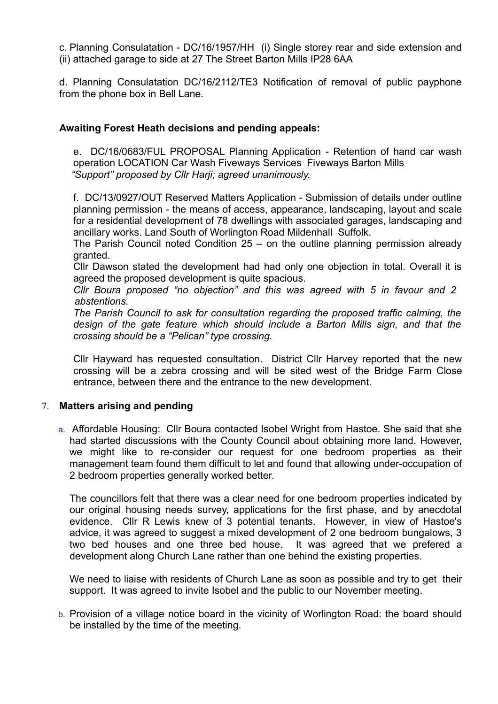c. Planning Consulatation - DC/16/1957/HH (i) Single storey rear and side extension and (ii) attached garage to side at 27 The Street Barton Mills IP28 6AA

d. Planning Consulatation DC/16/2112/TE3 Notification of removal of public payphone from the phone box in Bell Lane.

#### **Awaiting Forest Heath decisions and pending appeals:**

e. DC/16/0683/FUL PROPOSAL Planning Application - Retention of hand car wash operation LOCATION Car Wash Fiveways Services Fiveways Barton Mills *"Support" proposed by Cllr Harji; agreed unanimously.*

f. DC/13/0927/OUT Reserved Matters Application - Submission of details under outline planning permission - the means of access, appearance, landscaping, layout and scale for a residential development of 78 dwellings with associated garages, landscaping and ancillary works. Land South of Worlington Road Mildenhall Suffolk.

The Parish Council noted Condition 25 – on the outline planning permission already granted.

Cllr Dawson stated the development had had only one objection in total. Overall it is agreed the proposed development is quite spacious.

*Cllr Boura proposed "no objection" and this was agreed with 5 in favour and 2 abstentions.*

*The Parish Council to ask for consultation regarding the proposed traffic calming, the design of the gate feature which should include a Barton Mills sign, and that the crossing should be a "Pelican" type crossing.*

Cllr Hayward has requested consultation. District Cllr Harvey reported that the new crossing will be a zebra crossing and will be sited west of the Bridge Farm Close entrance, between there and the entrance to the new development.

#### 7. **Matters arising and pending**

a. Affordable Housing: Cllr Boura contacted Isobel Wright from Hastoe. She said that she had started discussions with the County Council about obtaining more land. However, we might like to re-consider our request for one bedroom properties as their management team found them difficult to let and found that allowing under-occupation of 2 bedroom properties generally worked better.

The councillors felt that there was a clear need for one bedroom properties indicated by our original housing needs survey, applications for the first phase, and by anecdotal evidence. Cllr R Lewis knew of 3 potential tenants. However, in view of Hastoe's advice, it was agreed to suggest a mixed development of 2 one bedroom bungalows, 3 two bed houses and one three bed house. It was agreed that we prefered a development along Church Lane rather than one behind the existing properties.

We need to liaise with residents of Church Lane as soon as possible and try to get their support. It was agreed to invite Isobel and the public to our November meeting.

b. Provision of a village notice board in the vicinity of Worlington Road: the board should be installed by the time of the meeting.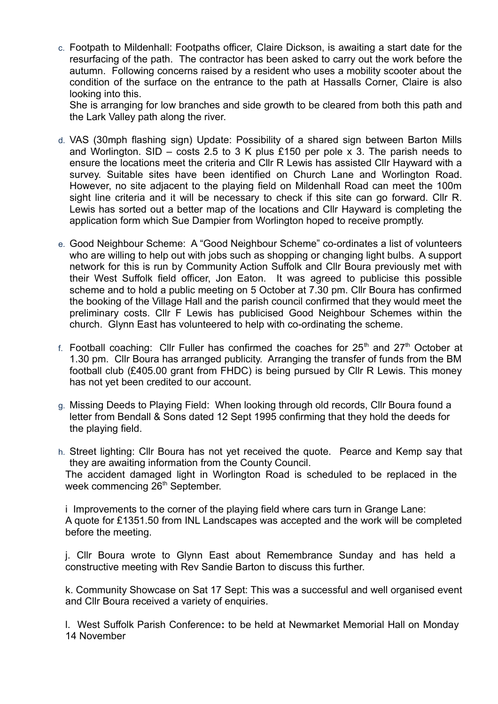c. Footpath to Mildenhall: Footpaths officer, Claire Dickson, is awaiting a start date for the resurfacing of the path. The contractor has been asked to carry out the work before the autumn. Following concerns raised by a resident who uses a mobility scooter about the condition of the surface on the entrance to the path at Hassalls Corner, Claire is also looking into this.

She is arranging for low branches and side growth to be cleared from both this path and the Lark Valley path along the river.

- d. VAS (30mph flashing sign) Update: Possibility of a shared sign between Barton Mills and Worlington. SID – costs 2.5 to 3 K plus £150 per pole x 3. The parish needs to ensure the locations meet the criteria and Cllr R Lewis has assisted Cllr Hayward with a survey. Suitable sites have been identified on Church Lane and Worlington Road. However, no site adjacent to the playing field on Mildenhall Road can meet the 100m sight line criteria and it will be necessary to check if this site can go forward. Cllr R. Lewis has sorted out a better map of the locations and Cllr Hayward is completing the application form which Sue Dampier from Worlington hoped to receive promptly.
- e. Good Neighbour Scheme: A "Good Neighbour Scheme" co-ordinates a list of volunteers who are willing to help out with jobs such as shopping or changing light bulbs. A support network for this is run by Community Action Suffolk and Cllr Boura previously met with their West Suffolk field officer, Jon Eaton. It was agreed to publicise this possible scheme and to hold a public meeting on 5 October at 7.30 pm. Cllr Boura has confirmed the booking of the Village Hall and the parish council confirmed that they would meet the preliminary costs. Cllr F Lewis has publicised Good Neighbour Schemes within the church. Glynn East has volunteered to help with co-ordinating the scheme.
- f. Football coaching: Cllr Fuller has confirmed the coaches for  $25<sup>th</sup>$  and  $27<sup>th</sup>$  October at 1.30 pm. Cllr Boura has arranged publicity. Arranging the transfer of funds from the BM football club (£405.00 grant from FHDC) is being pursued by Cllr R Lewis. This money has not yet been credited to our account.
- g. Missing Deeds to Playing Field: When looking through old records, Cllr Boura found a letter from Bendall & Sons dated 12 Sept 1995 confirming that they hold the deeds for the playing field.
- h. Street lighting: Cllr Boura has not yet received the quote.Pearce and Kemp say that they are awaiting information from the County Council. The accident damaged light in Worlington Road is scheduled to be replaced in the week commencing 26<sup>th</sup> September.

i Improvements to the corner of the playing field where cars turn in Grange Lane: A quote for £1351.50 from INL Landscapes was accepted and the work will be completed before the meeting.

j. Cllr Boura wrote to Glynn East about Remembrance Sunday and has held a constructive meeting with Rev Sandie Barton to discuss this further.

k. Community Showcase on Sat 17 Sept: This was a successful and well organised event and Cllr Boura received a variety of enquiries.

l. West Suffolk Parish Conference**:** to be held at Newmarket Memorial Hall on Monday 14 November